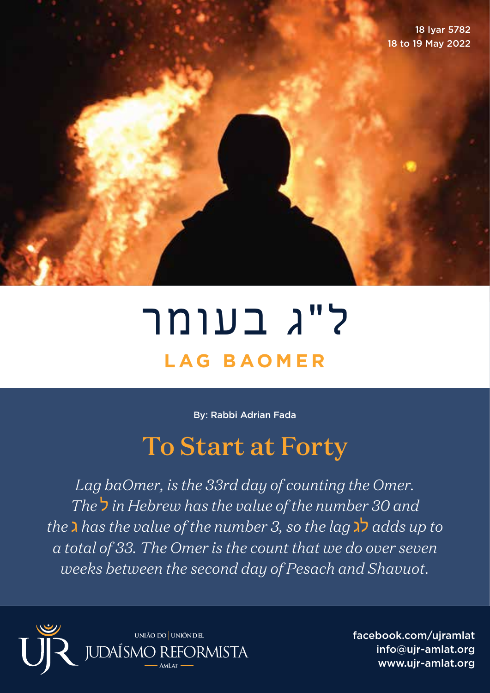18 Iyar 5782 18 to 19 May 2022

## ל"ג בעומר **LAG BAOMER**

By: Rabbi Adrian Fada

## To Start at Forty

*Lag baOmer, is the 33rd day of counting the Omer. The* ל *in Hebrew has the value of the number 30 and the* ג *has the value of the number 3, so the lag* לג *adds up to a total of 33. The Omer is the count that we do over seven weeks between the second day of Pesach and Shavuot.*



facebook.com/ujramlat info@ujr-amlat.org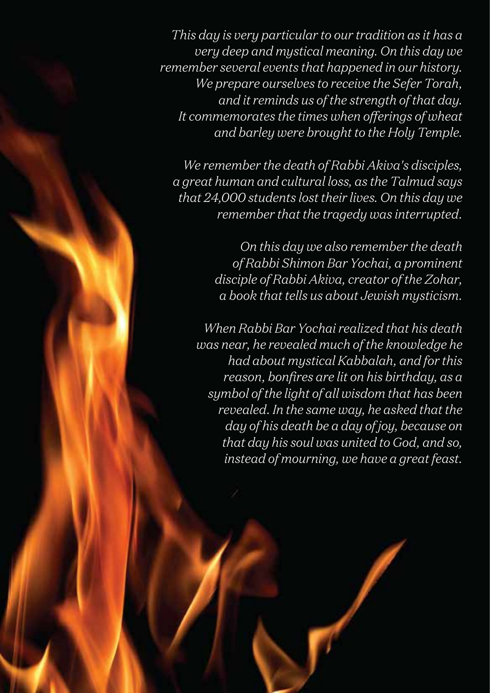*This day is very particular to our tradition as it has a very deep and mystical meaning. On this day we remember several events that happened in our history. We prepare ourselves to receive the Sefer Torah, and it reminds us of the strength of that day. It commemorates the times when offerings of wheat and barley were brought to the Holy Temple.*

*We remember the death of Rabbi Akiva's disciples, a great human and cultural loss, as the Talmud says that 24,000 students lost their lives. On this day we remember that the tragedy was interrupted.*

> *On this day we also remember the death of Rabbi Shimon Bar Yochai, a prominent disciple of Rabbi Akiva, creator of the Zohar, a book that tells us about Jewish mysticism.*

*When Rabbi Bar Yochai realized that his death was near, he revealed much of the knowledge he had about mystical Kabbalah, and for this reason, bonfires are lit on his birthday, as a symbol of the light of all wisdom that has been revealed. In the same way, he asked that the day of his death be a day of joy, because on that day his soul was united to God, and so, instead of mourning, we have a great feast.*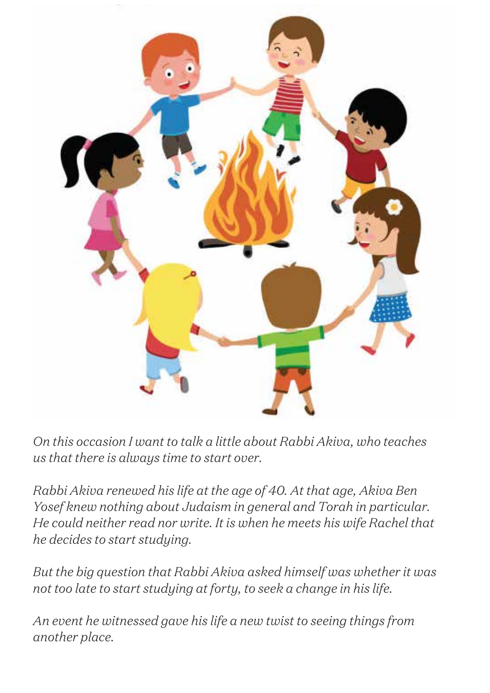

*On this occasion I want to talk a little about Rabbi Akiva, who teaches us that there is always time to start over.*

*Rabbi Akiva renewed his life at the age of 40. At that age, Akiva Ben Yosef knew nothing about Judaism in general and Torah in particular. He could neither read nor write. It is when he meets his wife Rachel that he decides to start studying.*

*But the big question that Rabbi Akiva asked himself was whether it was not too late to start studying at forty, to seek a change in his life.*

*An event he witnessed gave his life a new twist to seeing things from another place.*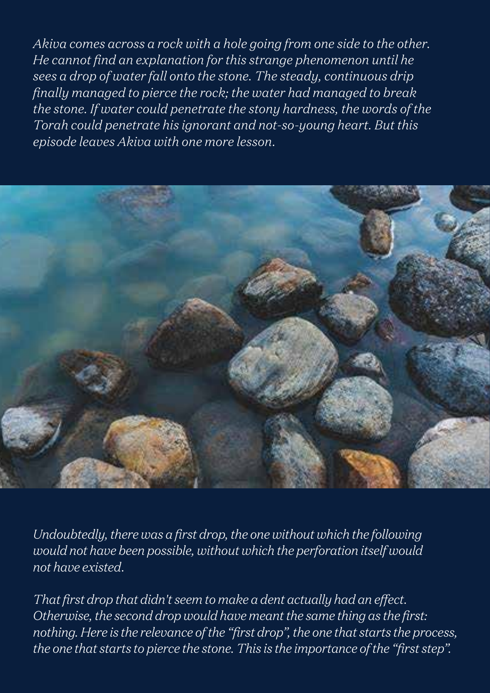*Akiva comes across a rock with a hole going from one side to the other. He cannot find an explanation for this strange phenomenon until he sees a drop of water fall onto the stone. The steady, continuous drip finally managed to pierce the rock; the water had managed to break the stone. If water could penetrate the stony hardness, the words of the Torah could penetrate his ignorant and not-so-young heart. But this episode leaves Akiva with one more lesson.*



*Undoubtedly, there was a first drop, the one without which the following would not have been possible, without which the perforation itself would not have existed.*

*That first drop that didn't seem to make a dent actually had an effect. Otherwise, the second drop would have meant the same thing as the first: nothing. Here is the relevance of the "first drop", the one that starts the process, the one that starts to pierce the stone. This is the importance of the "first step".*